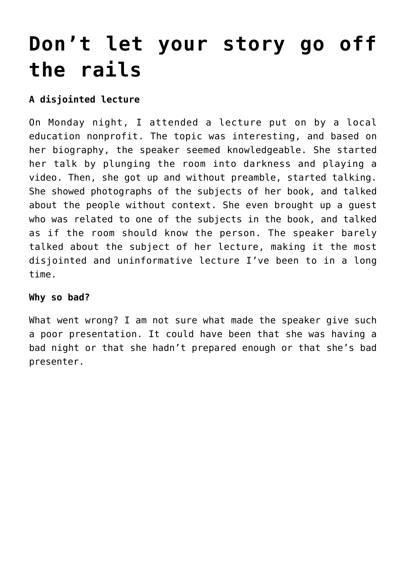# **[Don't let your story go off](https://deborahbrody.com/2020/01/dont-let-your-story-go-off-the-rails/) [the rails](https://deborahbrody.com/2020/01/dont-let-your-story-go-off-the-rails/)**

# **A disjointed lecture**

On Monday night, I attended a lecture put on by a local education nonprofit. The topic was interesting, and based on her biography, the speaker seemed knowledgeable. She started her talk by plunging the room into darkness and playing a video. Then, she got up and without preamble, started talking. She showed photographs of the subjects of her book, and talked about the people without context. She even brought up a guest who was related to one of the subjects in the book, and talked as if the room should know the person. The speaker barely talked about the subject of her lecture, making it the most disjointed and uninformative lecture I've been to in a long time.

#### **Why so bad?**

What went wrong? I am not sure what made the speaker give such a poor presentation. It could have been that she was having a bad night or that she hadn't prepared enough or that she's bad presenter.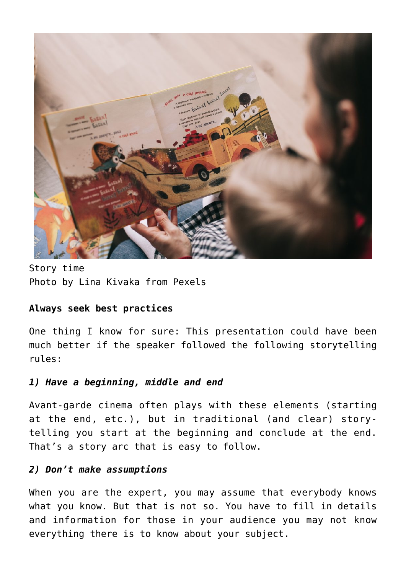

Story time Photo by Lina Kivaka from Pexels

## **Always seek best practices**

One thing I know for sure: This presentation could have been much better if the speaker followed the following storytelling rules:

## *1) Have a beginning, middle and end*

Avant-garde cinema often plays with these elements (starting at the end, etc.), but in traditional (and clear) storytelling you start at the beginning and conclude at the end. That's a story arc that is easy to follow.

#### *2) Don't make assumptions*

When you are the expert, you may assume that everybody knows what you know. But that is not so. You have to fill in details and information for those in your audience you may not know everything there is to know about your subject.